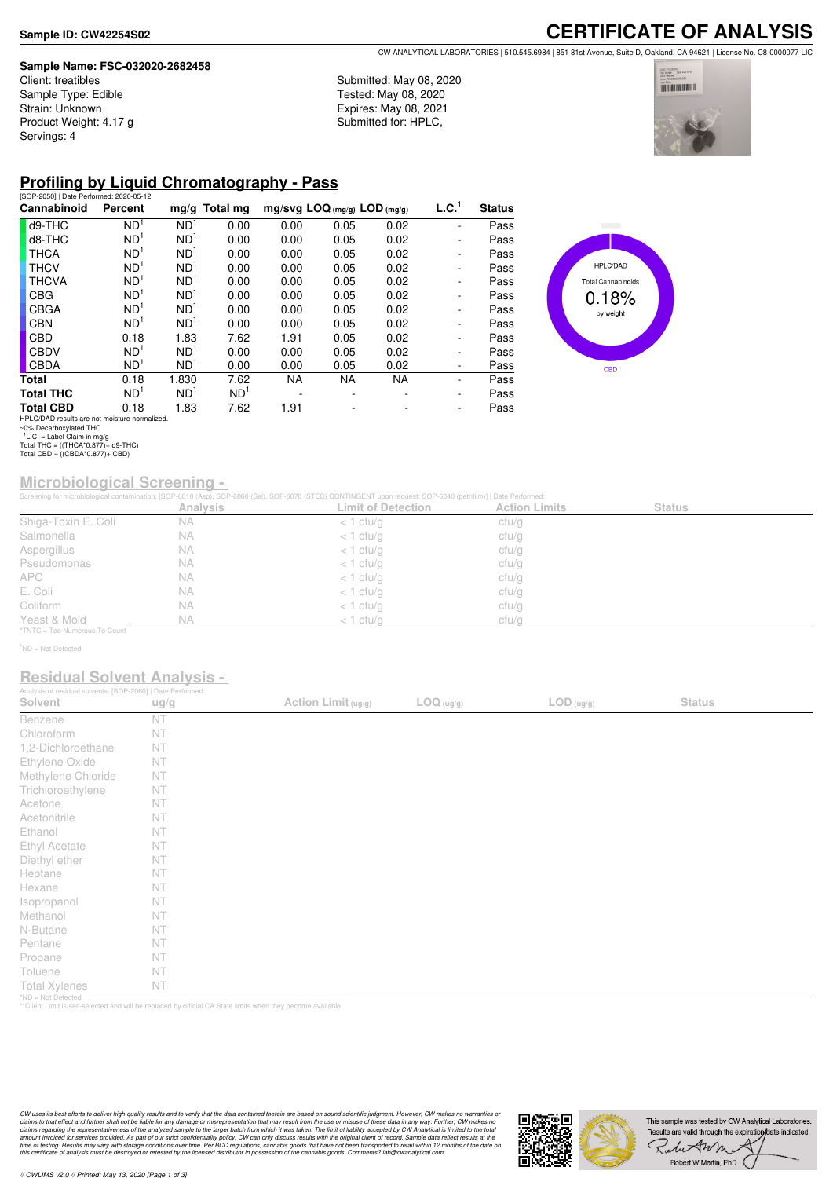### **Sample Name: FSC-032020-2682458**

Client: treatibles Sample Type: Edible Strain: Unknown Product Weight: 4.17 g Servings: 4

**CERTIFICATE OF ANALYSIS** CW ANALYTICAL LABORATORIES | 510.545.6984 | 851 81st Avenue, Suite D, Oakland, CA 94621 | License No. C8-0000077-LIC

Submitted: May 08, 2020 Tested: May 08, 2020 Expires: May 08, 2021 Submitted for: HPLC,



## **Profiling by Liquid Chromatography - Pass**

| [SOP-2050]   Date Performed: 2020-05-12       |                 |                 |                 |                                |           |           |                   |               |
|-----------------------------------------------|-----------------|-----------------|-----------------|--------------------------------|-----------|-----------|-------------------|---------------|
| Cannabinoid                                   | Percent         |                 | $mg/g$ Total mg | $mg/svg$ LOQ (mg/g) LOD (mg/g) |           |           | L.C. <sup>1</sup> | <b>Status</b> |
| d9-THC                                        | ND <sup>1</sup> | ND <sup>1</sup> | 0.00            | 0.00                           | 0.05      | 0.02      |                   | Pass          |
| d8-THC                                        | ND <sup>1</sup> | ND <sup>1</sup> | 0.00            | 0.00                           | 0.05      | 0.02      |                   | Pass          |
| <b>THCA</b>                                   | ND <sup>1</sup> | ND <sup>1</sup> | 0.00            | 0.00                           | 0.05      | 0.02      | -                 | Pass          |
| <b>THCV</b>                                   | ND <sup>1</sup> | ND <sup>1</sup> | 0.00            | 0.00                           | 0.05      | 0.02      | -                 | Pass          |
| <b>THCVA</b>                                  | ND <sup>1</sup> | ND <sup>1</sup> | 0.00            | 0.00                           | 0.05      | 0.02      | -                 | Pass          |
| <b>CBG</b>                                    | ND <sup>1</sup> | ND <sup>1</sup> | 0.00            | 0.00                           | 0.05      | 0.02      | -                 | Pass          |
| <b>CBGA</b>                                   | ND <sup>1</sup> | ND <sup>1</sup> | 0.00            | 0.00                           | 0.05      | 0.02      | -                 | Pass          |
| <b>CBN</b>                                    | ND <sup>1</sup> | ND <sup>1</sup> | 0.00            | 0.00                           | 0.05      | 0.02      | -                 | Pass          |
| <b>CBD</b>                                    | 0.18            | 1.83            | 7.62            | 1.91                           | 0.05      | 0.02      | -                 | Pass          |
| <b>CBDV</b>                                   | ND <sup>1</sup> | ND <sup>1</sup> | 0.00            | 0.00                           | 0.05      | 0.02      | -                 | Pass          |
| <b>CBDA</b>                                   | ND <sup>1</sup> | ND <sup>1</sup> | 0.00            | 0.00                           | 0.05      | 0.02      | -                 | Pass          |
| Total                                         | 0.18            | 1.830           | 7.62            | NA.                            | <b>NA</b> | <b>NA</b> | ٠                 | Pass          |
| <b>Total THC</b>                              | ND <sup>1</sup> | ND <sup>1</sup> | ND <sup>1</sup> |                                |           |           | -                 | Pass          |
| <b>Total CBD</b>                              | 0.18            | 1.83            | 7.62            | 1.91                           |           |           | ۰                 | Pass          |
| HPLC/DAD results are not moisture normalized. |                 |                 |                 |                                |           |           |                   |               |



# **Microbiological Screening -**

|                               |                 | Screening for microbiological contamination. [SOP-6010 (Asp), SOP-6060 (Sal), SOP-6070 (STEC) CONTINGENT upon request: SOP-6040 (petrifilm)]   Date Performed: |                      |               |  |
|-------------------------------|-----------------|----------------------------------------------------------------------------------------------------------------------------------------------------------------|----------------------|---------------|--|
|                               | <b>Analysis</b> | <b>Limit of Detection</b>                                                                                                                                      | <b>Action Limits</b> | <b>Status</b> |  |
| Shiga-Toxin E. Coli           | <b>NA</b>       | $<$ 1 cfu/g                                                                                                                                                    | cfu/g                |               |  |
| Salmonella                    | <b>NA</b>       | $<$ 1 cfu/g                                                                                                                                                    | cfu/g                |               |  |
| Aspergillus                   | <b>NA</b>       | $<$ 1 cfu/g                                                                                                                                                    | cfu/g                |               |  |
| Pseudomonas                   | <b>NA</b>       | $<$ 1 cfu/g                                                                                                                                                    | cfu/g                |               |  |
| <b>APC</b>                    | <b>NA</b>       | $<$ 1 cfu/g                                                                                                                                                    | cfu/g                |               |  |
| E. Coli                       | <b>NA</b>       | $<$ 1 cfu/g                                                                                                                                                    | cfu/g                |               |  |
| Coliform                      | <b>NA</b>       | $<$ 1 cfu/g                                                                                                                                                    | cfu/g                |               |  |
| Yeast & Mold                  | <b>NA</b>       | $<$ 1 cfu/g                                                                                                                                                    | cfu/g                |               |  |
| *TNTC = Too Numerous To Count |                 |                                                                                                                                                                |                      |               |  |

<sup>1</sup>ND = Not Detected

### **Residual Solvent Analysis -**

| Analysis of residual solvents. [SOP-2060]   Date Performed: |      |                       |            |                                          |               |  |
|-------------------------------------------------------------|------|-----------------------|------------|------------------------------------------|---------------|--|
| Solvent                                                     | ug/g | Action Limit $(ug/g)$ | LOG (ug/g) | $\mathsf{LOD}\left(\mathsf{ug/g}\right)$ | <b>Status</b> |  |
| Benzene                                                     | NT   |                       |            |                                          |               |  |
| Chloroform                                                  | NT   |                       |            |                                          |               |  |
| 1,2-Dichloroethane                                          | NT   |                       |            |                                          |               |  |
| Ethylene Oxide                                              | NT   |                       |            |                                          |               |  |
| Methylene Chloride                                          | NT   |                       |            |                                          |               |  |
| Trichloroethylene                                           | NT   |                       |            |                                          |               |  |
| Acetone                                                     | NT   |                       |            |                                          |               |  |
| Acetonitrile                                                | NT   |                       |            |                                          |               |  |
| Ethanol                                                     | NT   |                       |            |                                          |               |  |
| Ethyl Acetate                                               | NT   |                       |            |                                          |               |  |
| Diethyl ether                                               | NT   |                       |            |                                          |               |  |
| Heptane                                                     | NT   |                       |            |                                          |               |  |
| Hexane                                                      | NT   |                       |            |                                          |               |  |
| Isopropanol                                                 | NT   |                       |            |                                          |               |  |
| Methanol                                                    | NT   |                       |            |                                          |               |  |
| N-Butane                                                    | NT   |                       |            |                                          |               |  |
| Pentane                                                     | NT   |                       |            |                                          |               |  |
| Propane                                                     | NT   |                       |            |                                          |               |  |
| Toluene                                                     | NT   |                       |            |                                          |               |  |
| <b>Total Xylenes</b>                                        | NT   |                       |            |                                          |               |  |
| *ND = Not Detected                                          |      |                       |            |                                          |               |  |

\*ND = Not Detected \*\*Client Limit is self-selected and will be replaced by official CA State limits when they become available

CW uses its best efforts to deliver high-quality results and to verify that the data contained therein are based on sound scientific judgment. However, CW makes no warranties or<br>claims to that effect and turther shall not



HPLC/DAD results are not moisture normalized. ~0% Decarboxylated THC 1 L.C. = Label Claim in mg/g Total THC = ((THCA\*0.877)+ d9-THC) Total CBD = ((CBDA\*0.877)+ CBD)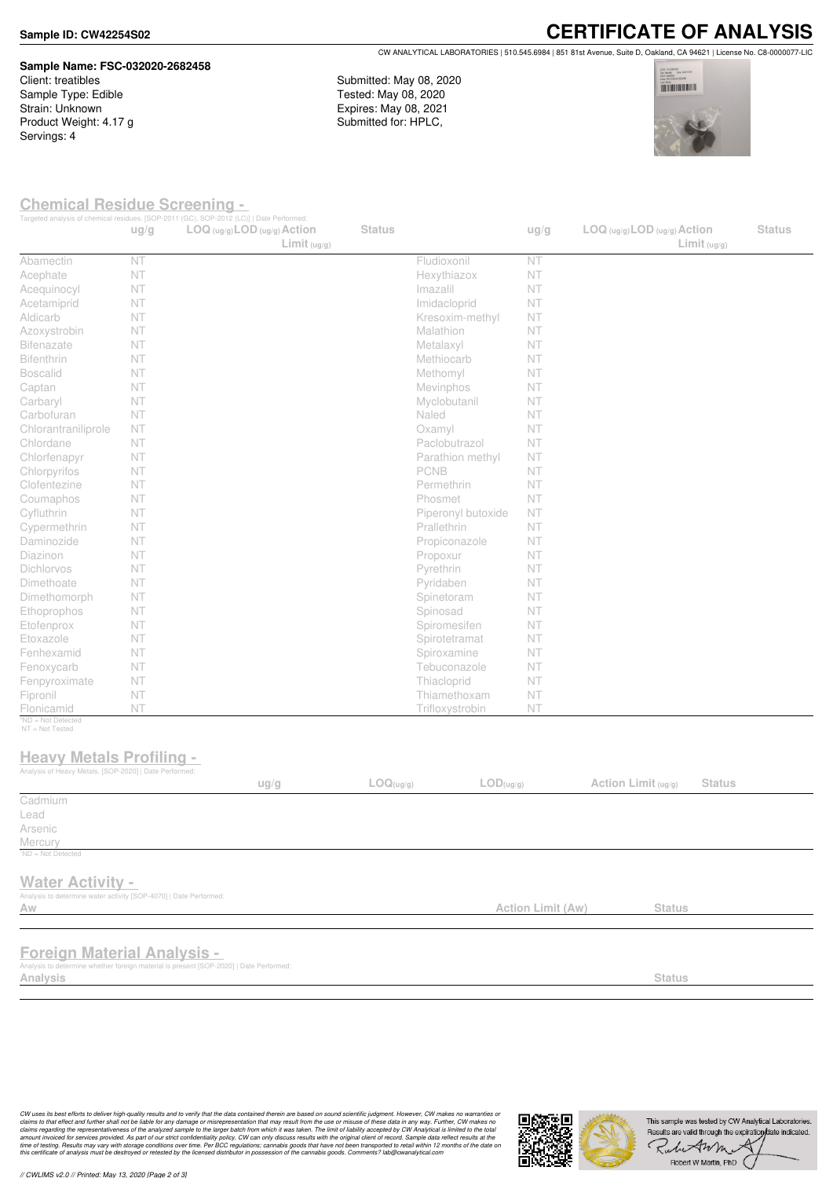#### **Sample ID: CW42254S02**

#### **Sample Name: FSC-032020-2682458** Client: treatibles

Sample Type: Edible Strain: Unknown Product Weight: 4.17 g Servings: 4

**CERTIFICATE OF ANALYSIS** CW ANALYTICAL LABORATORIES | 510.545.6984 | 851 81st Avenue, Suite D, Oakland, CA 94621 | License No. C8-0000077-LIC

Submitted: May 08, 2020 Tested: May 08, 2020 Expires: May 08, 2021 Submitted for: HPLC,



### **Chemical Residue Screening -**

|                                                                                                              | ug/g | Targeted analysis of chemical residues. [SOP-2011 (GC), SOP-2012 (LC)]   Date Performed:<br>$LOG (ug/g)$ <i>LOD</i> $(ug/g)$ <i>Action</i><br>Limit <sub>(ug/g)</sub> | <b>Status</b> |                               | ug/g                     | LOG (ug/g) LOD (ug/g) Action<br>Limit <sub>(ug/g)</sub> |               | <b>Status</b> |
|--------------------------------------------------------------------------------------------------------------|------|-----------------------------------------------------------------------------------------------------------------------------------------------------------------------|---------------|-------------------------------|--------------------------|---------------------------------------------------------|---------------|---------------|
| Abamectin                                                                                                    | NT   |                                                                                                                                                                       |               | Fludioxonil                   | NT                       |                                                         |               |               |
| Acephate                                                                                                     | NT   |                                                                                                                                                                       |               | Hexythiazox                   | <b>NT</b>                |                                                         |               |               |
| Acequinocyl                                                                                                  | NT   |                                                                                                                                                                       |               | Imazalil                      | NT                       |                                                         |               |               |
| Acetamiprid                                                                                                  | NT   |                                                                                                                                                                       |               | Imidacloprid                  | NT                       |                                                         |               |               |
| Aldicarb                                                                                                     | NT   |                                                                                                                                                                       |               | Kresoxim-methyl               | NT                       |                                                         |               |               |
| Azoxystrobin                                                                                                 | NT   |                                                                                                                                                                       |               | <b>Malathion</b>              | NT                       |                                                         |               |               |
| <b>Bifenazate</b>                                                                                            | NT   |                                                                                                                                                                       |               | Metalaxyl                     | NT                       |                                                         |               |               |
| <b>Bifenthrin</b>                                                                                            | NT   |                                                                                                                                                                       |               | Methiocarb                    | NT.                      |                                                         |               |               |
| <b>Boscalid</b>                                                                                              | NT   |                                                                                                                                                                       |               | Methomyl                      | NT                       |                                                         |               |               |
| Captan                                                                                                       | NT   |                                                                                                                                                                       |               | Mevinphos                     | NT                       |                                                         |               |               |
| Carbaryl                                                                                                     | NT   |                                                                                                                                                                       |               | Myclobutanil                  | NT.                      |                                                         |               |               |
| Carbofuran                                                                                                   | NT   |                                                                                                                                                                       |               | Naled                         | NT                       |                                                         |               |               |
| Chlorantraniliprole                                                                                          | NT   |                                                                                                                                                                       |               | Oxamyl                        | NT                       |                                                         |               |               |
| Chlordane                                                                                                    | NT   |                                                                                                                                                                       |               | Paclobutrazol                 | NT.                      |                                                         |               |               |
| Chlorfenapyr                                                                                                 | NT   |                                                                                                                                                                       |               | Parathion methyl              | NT.                      |                                                         |               |               |
| Chlorpyrifos                                                                                                 | NT   |                                                                                                                                                                       |               | <b>PCNB</b>                   | NT.                      |                                                         |               |               |
| Clofentezine                                                                                                 | NT   |                                                                                                                                                                       |               | Permethrin                    | NT                       |                                                         |               |               |
| Coumaphos                                                                                                    | NT   |                                                                                                                                                                       |               | Phosmet                       | <b>NT</b>                |                                                         |               |               |
| Cyfluthrin                                                                                                   | NT   |                                                                                                                                                                       |               | Piperonyl butoxide            | NT.                      |                                                         |               |               |
| Cypermethrin                                                                                                 | NT   |                                                                                                                                                                       |               | Prallethrin                   | NT.                      |                                                         |               |               |
| Daminozide                                                                                                   | NT   |                                                                                                                                                                       |               | Propiconazole                 | NT.                      |                                                         |               |               |
| Diazinon                                                                                                     | NT   |                                                                                                                                                                       |               | Propoxur                      | NT.                      |                                                         |               |               |
| Dichlorvos                                                                                                   | NT   |                                                                                                                                                                       |               | Pyrethrin                     | <b>NT</b>                |                                                         |               |               |
| Dimethoate                                                                                                   | NT   |                                                                                                                                                                       |               | Pyridaben                     | NT.                      |                                                         |               |               |
| Dimethomorph                                                                                                 | NT   |                                                                                                                                                                       |               | Spinetoram                    | <b>NT</b>                |                                                         |               |               |
| Ethoprophos                                                                                                  | NT   |                                                                                                                                                                       |               | Spinosad                      | NT                       |                                                         |               |               |
| Etofenprox                                                                                                   | NT   |                                                                                                                                                                       |               | Spiromesifen                  | <b>NT</b>                |                                                         |               |               |
| Etoxazole                                                                                                    | NT   |                                                                                                                                                                       |               | Spirotetramat                 | NT                       |                                                         |               |               |
|                                                                                                              | NT   |                                                                                                                                                                       |               |                               |                          |                                                         |               |               |
| Fenhexamid                                                                                                   |      |                                                                                                                                                                       |               | Spiroxamine                   | NT                       |                                                         |               |               |
| Fenoxycarb                                                                                                   | NT   |                                                                                                                                                                       |               | Tebuconazole                  | NT                       |                                                         |               |               |
| Fenpyroximate                                                                                                | NT   |                                                                                                                                                                       |               | Thiacloprid                   | NT                       |                                                         |               |               |
| Fipronil                                                                                                     | NT   |                                                                                                                                                                       |               | Thiamethoxam                  | NT                       |                                                         |               |               |
| Flonicamid<br>*ND = Not Detected                                                                             | NT   |                                                                                                                                                                       |               | Trifloxystrobin               | NT                       |                                                         |               |               |
| NT = Not Tested<br><b>Heavy Metals Profiling -</b><br>Analysis of Heavy Metals. [SOP-2020]   Date Performed: |      | ug/g                                                                                                                                                                  | LOQ(ug/g)     | $\mathsf{LOD}(\mathsf{ug/g})$ |                          | Action Limit (ug/g)                                     | <b>Status</b> |               |
| Cadmium                                                                                                      |      |                                                                                                                                                                       |               |                               |                          |                                                         |               |               |
| Lead                                                                                                         |      |                                                                                                                                                                       |               |                               |                          |                                                         |               |               |
| Arsenic                                                                                                      |      |                                                                                                                                                                       |               |                               |                          |                                                         |               |               |
| Mercury                                                                                                      |      |                                                                                                                                                                       |               |                               |                          |                                                         |               |               |
| <sup>1</sup> ND = Not Detected                                                                               |      |                                                                                                                                                                       |               |                               |                          |                                                         |               |               |
| <b>Water Activity -</b><br>Analysis to determine water activity [SOP-4070]   Date Performed:<br>Aw           |      |                                                                                                                                                                       |               |                               | <b>Action Limit (Aw)</b> | <b>Status</b>                                           |               |               |
|                                                                                                              |      |                                                                                                                                                                       |               |                               |                          |                                                         |               |               |

## **Foreign Material Analysis -**

Analysis to determine whether foreign material is present [SOP-2020] | Date Per<br>**Analysis Analysis Status**

CW uses its best efforts to deliver high-quality results and to verify that the data contained therein are based on sound scientific judgment. However, CW makes no warranties or<br>claims to that effect and turther shall not